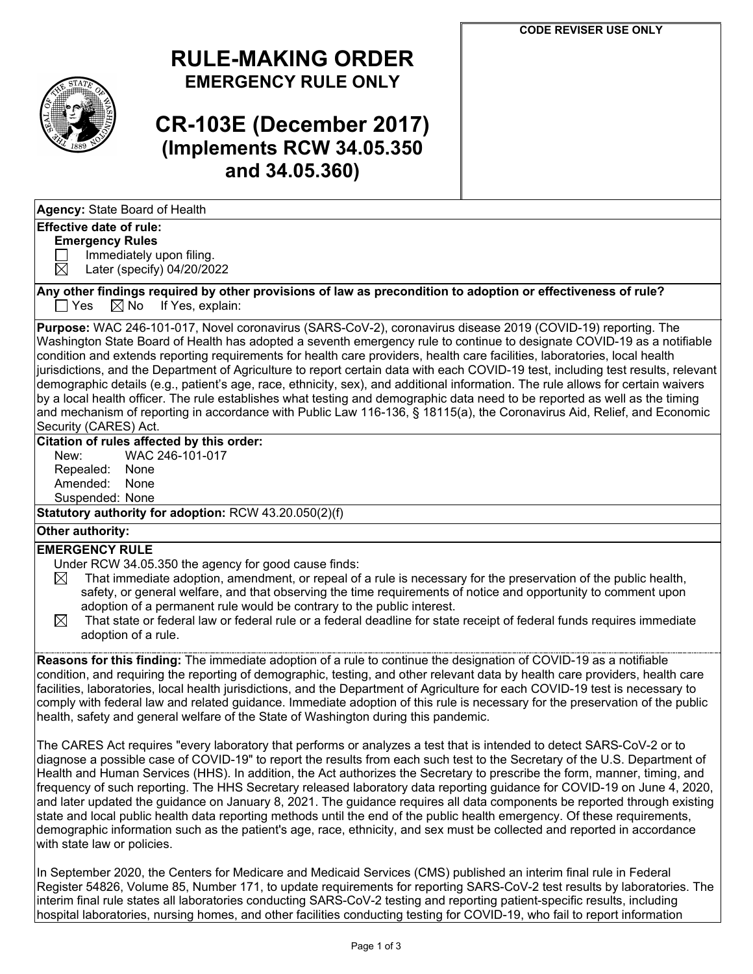

## **RULE-MAKING ORDER EMERGENCY RULE ONLY**

# **CR-103E (December 2017) (Implements RCW 34.05.350 and 34.05.360)**

#### **Effective date of rule:**

#### **Emergency Rules**

 $\Box$  Immediately upon filing.<br>  $\boxtimes$  Later (specify) 04/20/20

Later (specify) 04/20/2022

Any other findings required by other provisions of law as precondition to adoption or effectiveness of rule?<br>  $\Box$  Yes  $\Box$  No If Yes, explain:  $\boxtimes$  No If Yes, explain:

**Purpose:** WAC 246-101-017, Novel coronavirus (SARS-CoV-2), coronavirus disease 2019 (COVID-19) reporting. The Washington State Board of Health has adopted a seventh emergency rule to continue to designate COVID-19 as a notifiable condition and extends reporting requirements for health care providers, health care facilities, laboratories, local health jurisdictions, and the Department of Agriculture to report certain data with each COVID-19 test, including test results, relevant demographic details (e.g., patient's age, race, ethnicity, sex), and additional information. The rule allows for certain waivers by a local health officer. The rule establishes what testing and demographic data need to be reported as well as the timing and mechanism of reporting in accordance with Public Law 116-136, § 18115(a), the Coronavirus Aid, Relief, and Economic Security (CARES) Act.

### **Citation of rules affected by this order:**

New: WAC 246-101-017 Repealed: None Amended: None Suspended: None

**Statutory authority for adoption:** RCW 43.20.050(2)(f)

### **Other authority:**

#### **EMERGENCY RULE**

- Under RCW 34.05.350 the agency for good cause finds:
- $\boxtimes$  That immediate adoption, amendment, or repeal of a rule is necessary for the preservation of the public health, safety, or general welfare, and that observing the time requirements of notice and opportunity to comment upon adoption of a permanent rule would be contrary to the public interest.
- $\boxtimes$  That state or federal law or federal rule or a federal deadline for state receipt of federal funds requires immediate adoption of a rule.

**Reasons for this finding:** The immediate adoption of a rule to continue the designation of COVID-19 as a notifiable condition, and requiring the reporting of demographic, testing, and other relevant data by health care providers, health care facilities, laboratories, local health jurisdictions, and the Department of Agriculture for each COVID-19 test is necessary to comply with federal law and related guidance. Immediate adoption of this rule is necessary for the preservation of the public health, safety and general welfare of the State of Washington during this pandemic.

The CARES Act requires "every laboratory that performs or analyzes a test that is intended to detect SARS-CoV-2 or to diagnose a possible case of COVID-19" to report the results from each such test to the Secretary of the U.S. Department of Health and Human Services (HHS). In addition, the Act authorizes the Secretary to prescribe the form, manner, timing, and frequency of such reporting. The HHS Secretary released laboratory data reporting guidance for COVID-19 on June 4, 2020, and later updated the guidance on January 8, 2021. The guidance requires all data components be reported through existing state and local public health data reporting methods until the end of the public health emergency. Of these requirements, demographic information such as the patient's age, race, ethnicity, and sex must be collected and reported in accordance with state law or policies.

In September 2020, the Centers for Medicare and Medicaid Services (CMS) published an interim final rule in Federal Register 54826, Volume 85, Number 171, to update requirements for reporting SARS-CoV-2 test results by laboratories. The interim final rule states all laboratories conducting SARS-CoV-2 testing and reporting patient-specific results, including hospital laboratories, nursing homes, and other facilities conducting testing for COVID-19, who fail to report information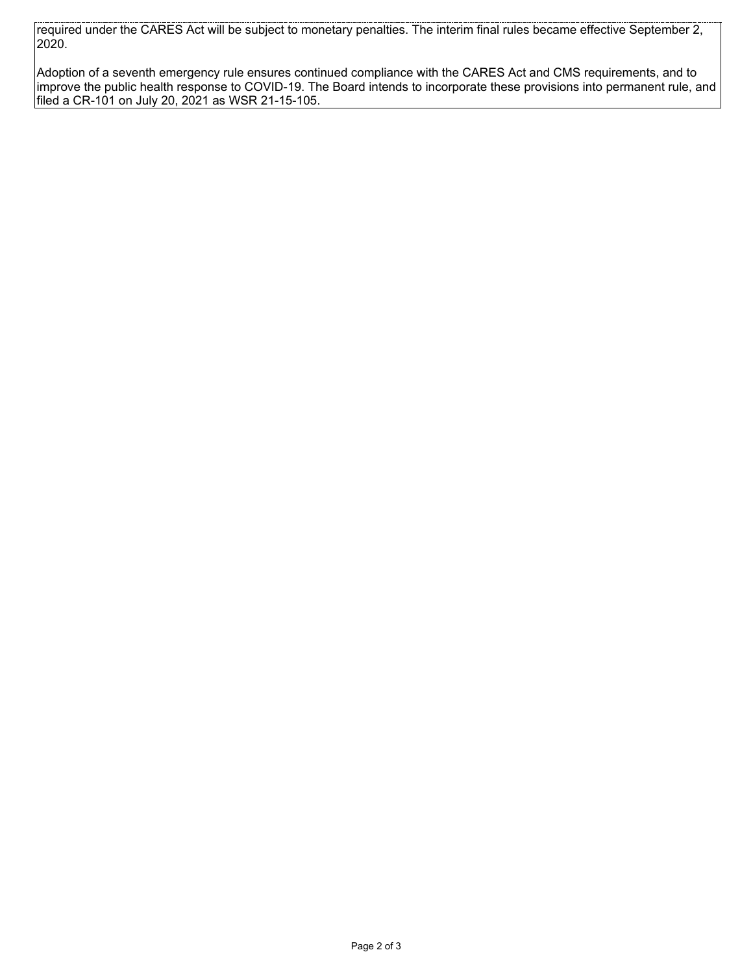required under the CARES Act will be subject to monetary penalties. The interim final rules became effective September 2, 2020.

Adoption of a seventh emergency rule ensures continued compliance with the CARES Act and CMS requirements, and to improve the public health response to COVID-19. The Board intends to incorporate these provisions into permanent rule, and filed a CR-101 on July 20, 2021 as WSR 21-15-105.